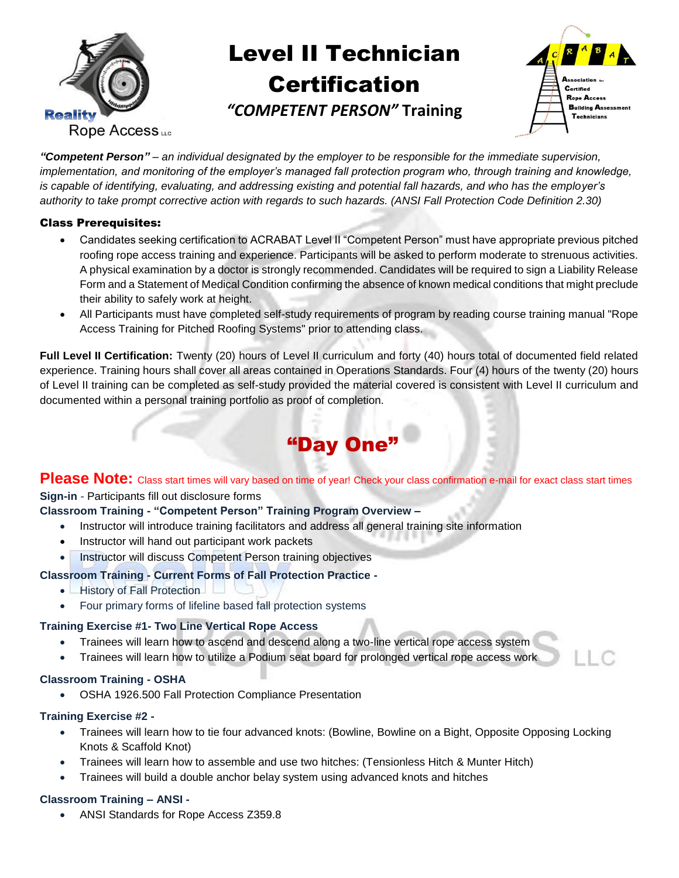

# **Certification** Rope Access Training *"COMPETENT PERSON"* **Training**Level II Technician



*"Competent Person" – an individual designated by the employer to be responsible for the immediate supervision, implementation, and monitoring of the employer's managed fall protection program who, through training and knowledge, is capable of identifying, evaluating, and addressing existing and potential fall hazards, and who has the employer's authority to take prompt corrective action with regards to such hazards. (ANSI Fall Protection Code Definition 2.30)*

### Class Prerequisites:

- Candidates seeking certification to ACRABAT Level II "Competent Person" must have appropriate previous pitched roofing rope access training and experience. Participants will be asked to perform moderate to strenuous activities. A physical examination by a doctor is strongly recommended. Candidates will be required to sign a Liability Release Form and a Statement of Medical Condition confirming the absence of known medical conditions that might preclude their ability to safely work at height.
- All Participants must have completed self-study requirements of program by reading course training manual "Rope Access Training for Pitched Roofing Systems" prior to attending class.

**Full Level II Certification:** Twenty (20) hours of Level II curriculum and forty (40) hours total of documented field related experience. Training hours shall cover all areas contained in Operations Standards. Four (4) hours of the twenty (20) hours of Level II training can be completed as self-study provided the material covered is consistent with Level II curriculum and documented within a personal training portfolio as proof of completion.

# "Day One"

Please Note: Class start times will vary based on time of year! Check your class confirmation e-mail for exact class start times **Sign-in** - Participants fill out disclosure forms

## **Classroom Training - "Competent Person" Training Program Overview –**

- Instructor will introduce training facilitators and address all general training site information
- Instructor will hand out participant work packets
- Instructor will discuss Competent Person training objectives

## **Classroom Training - Current Forms of Fall Protection Practice -**

- **History of Fall Protection**
- Four primary forms of lifeline based fall protection systems

## **Training Exercise #1- Two Line Vertical Rope Access**

- Trainees will learn how to ascend and descend along a two-line vertical rope access system
- Trainees will learn how to utilize a Podium seat board for prolonged vertical rope access work

#### **Classroom Training - OSHA**

OSHA 1926.500 Fall Protection Compliance Presentation

#### **Training Exercise #2 -**

- Trainees will learn how to tie four advanced knots: (Bowline, Bowline on a Bight, Opposite Opposing Locking Knots & Scaffold Knot)
- Trainees will learn how to assemble and use two hitches: (Tensionless Hitch & Munter Hitch)
- Trainees will build a double anchor belay system using advanced knots and hitches

#### **Classroom Training – ANSI -**

ANSI Standards for Rope Access Z359.8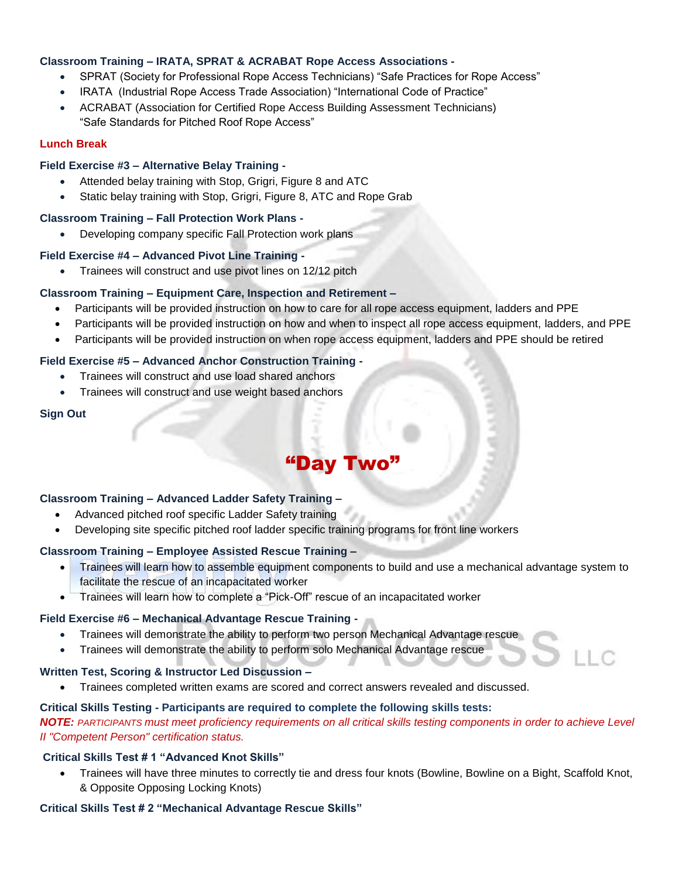#### **Classroom Training – IRATA, SPRAT & ACRABAT Rope Access Associations -**

- SPRAT (Society for Professional Rope Access Technicians) "Safe Practices for Rope Access"
- IRATA (Industrial Rope Access Trade Association) "International Code of Practice"
- ACRABAT (Association for Certified Rope Access Building Assessment Technicians) "Safe Standards for Pitched Roof Rope Access"

#### **Lunch Break**

#### **Field Exercise #3 – Alternative Belay Training -**

- Attended belay training with Stop, Grigri, Figure 8 and ATC
- Static belay training with Stop, Grigri, Figure 8, ATC and Rope Grab

#### **Classroom Training – Fall Protection Work Plans -**

Developing company specific Fall Protection work plans

#### **Field Exercise #4 – Advanced Pivot Line Training -**

• Trainees will construct and use pivot lines on 12/12 pitch

#### **Classroom Training – Equipment Care, Inspection and Retirement –**

- Participants will be provided instruction on how to care for all rope access equipment, ladders and PPE
- Participants will be provided instruction on how and when to inspect all rope access equipment, ladders, and PPE
- Participants will be provided instruction on when rope access equipment, ladders and PPE should be retired

#### **Field Exercise #5 – Advanced Anchor Construction Training -**

- Trainees will construct and use load shared anchors
- Trainees will construct and use weight based anchors

#### **Sign Out**

# "Day Two"

#### **Classroom Training – Advanced Ladder Safety Training –**

- Advanced pitched roof specific Ladder Safety training
- Developing site specific pitched roof ladder specific training programs for front line workers

#### **Classroom Training – Employee Assisted Rescue Training –**

- Trainees will learn how to assemble equipment components to build and use a mechanical advantage system to facilitate the rescue of an incapacitated worker
- Trainees will learn how to complete a "Pick-Off" rescue of an incapacitated worker

#### **Field Exercise #6 – Mechanical Advantage Rescue Training -**

- Trainees will demonstrate the ability to perform two person Mechanical Advantage rescue
- Trainees will demonstrate the ability to perform solo Mechanical Advantage rescue

#### **Written Test, Scoring & Instructor Led Discussion –**

Trainees completed written exams are scored and correct answers revealed and discussed.

#### **Critical Skills Testing - Participants are required to complete the following skills tests:**

*NOTE: PARTICIPANTS must meet proficiency requirements on all critical skills testing components in order to achieve Level II "Competent Person" certification status.*

#### **Critical Skills Test # 1 "Advanced Knot Skills"**

 Trainees will have three minutes to correctly tie and dress four knots (Bowline, Bowline on a Bight, Scaffold Knot, & Opposite Opposing Locking Knots)

#### **Critical Skills Test # 2 "Mechanical Advantage Rescue Skills"**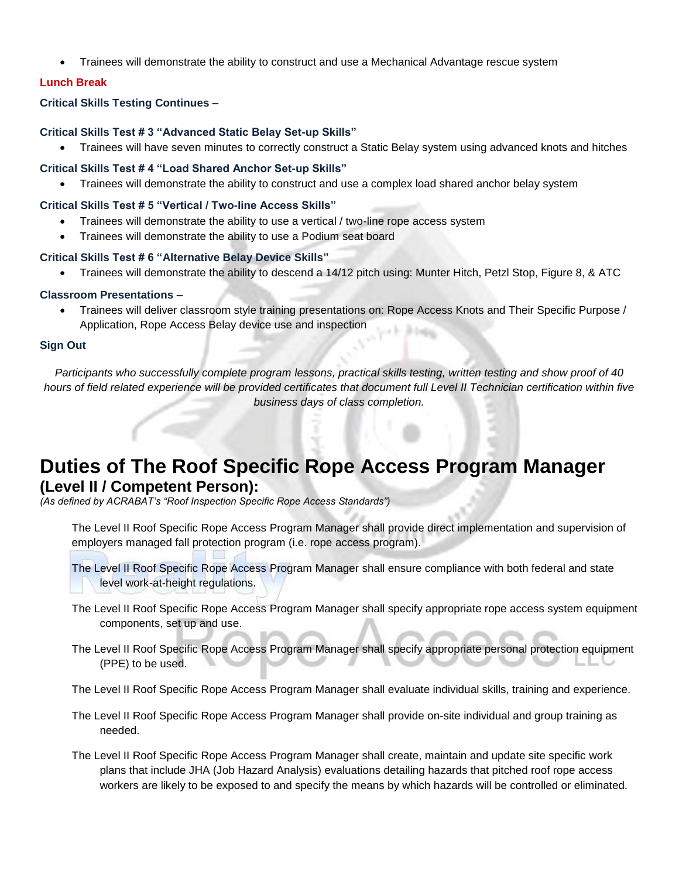Trainees will demonstrate the ability to construct and use a Mechanical Advantage rescue system

#### **Lunch Break**

#### **Critical Skills Testing Continues –**

#### **Critical Skills Test # 3 "Advanced Static Belay Set-up Skills"**

Trainees will have seven minutes to correctly construct a Static Belay system using advanced knots and hitches

#### **Critical Skills Test # 4 "Load Shared Anchor Set-up Skills"**

Trainees will demonstrate the ability to construct and use a complex load shared anchor belay system

#### **Critical Skills Test # 5 "Vertical / Two-line Access Skills"**

- Trainees will demonstrate the ability to use a vertical / two-line rope access system
- Trainees will demonstrate the ability to use a Podium seat board

#### **Critical Skills Test # 6 "Alternative Belay Device Skills"**

Trainees will demonstrate the ability to descend a 14/12 pitch using: Munter Hitch, Petzl Stop, Figure 8, & ATC

#### **Classroom Presentations –**

 Trainees will deliver classroom style training presentations on: Rope Access Knots and Their Specific Purpose / Application, Rope Access Belay device use and inspection

#### **Sign Out**

*Participants who successfully complete program lessons, practical skills testing, written testing and show proof of 40 hours of field related experience will be provided certificates that document full Level II Technician certification within five business days of class completion.*

# **Duties of The Roof Specific Rope Access Program Manager (Level II / Competent Person):**

*(As defined by ACRABAT's "Roof Inspection Specific Rope Access Standards")*

The Level II Roof Specific Rope Access Program Manager shall provide direct implementation and supervision of employers managed fall protection program (i.e. rope access program).

The Level II Roof Specific Rope Access Program Manager shall ensure compliance with both federal and state level work-at-height regulations.

- The Level II Roof Specific Rope Access Program Manager shall specify appropriate rope access system equipment components, set up and use.
- The Level II Roof Specific Rope Access Program Manager shall specify appropriate personal protection equipment (PPE) to be used.

The Level II Roof Specific Rope Access Program Manager shall evaluate individual skills, training and experience.

- The Level II Roof Specific Rope Access Program Manager shall provide on-site individual and group training as needed.
- The Level II Roof Specific Rope Access Program Manager shall create, maintain and update site specific work plans that include JHA (Job Hazard Analysis) evaluations detailing hazards that pitched roof rope access workers are likely to be exposed to and specify the means by which hazards will be controlled or eliminated.